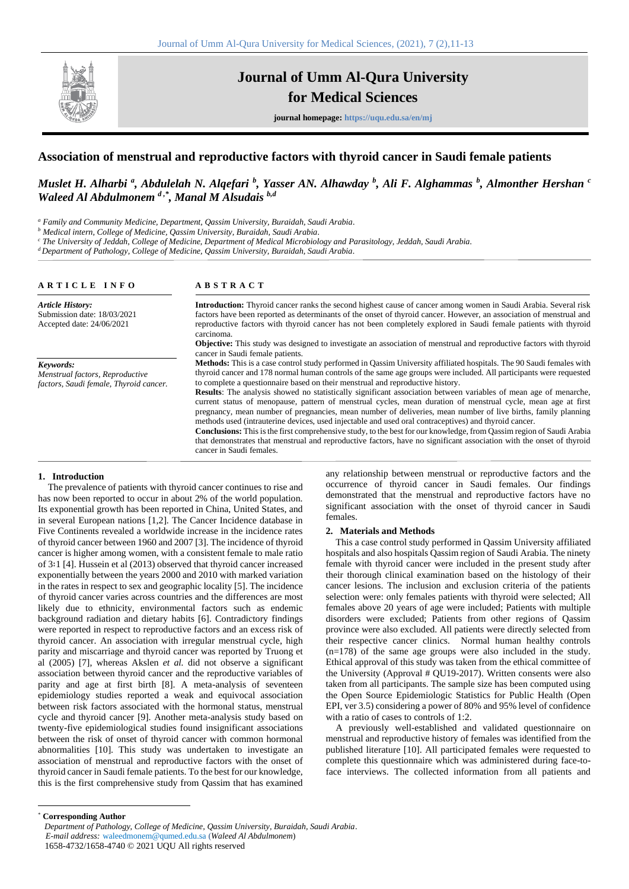

# **Journal of Umm Al-Qura University for Medical Sciences**

**journal homepage: https://uqu.edu.sa/en/mj**

## **Association of menstrual and reproductive factors with thyroid cancer in Saudi female patients**

### *Muslet H. Alharbi <sup>a</sup> , Abdulelah N. Alqefari <sup>b</sup> , Yasser AN. Alhawday <sup>b</sup> , Ali F. Alghammas <sup>b</sup> , Almonther Hershan <sup>c</sup> Waleed Al Abdulmonem d ,\*, Manal M Alsudais b,d*

*<sup>a</sup> Family and Community Medicine, Department, Qassim University, Buraidah, Saudi Arabia.*

*<sup>b</sup> Medical intern, College of Medicine, Qassim University, Buraidah, Saudi Arabia.*

*<sup>c</sup> The University of Jeddah, College of Medicine, Department of Medical Microbiology and Parasitology, Jeddah, Saudi Arabia.*

*<sup>d</sup>Department of Pathology, College of Medicine, Qassim University, Buraidah, Saudi Arabia.*

#### **A R T I C L E I N F O**

#### **A B S T R A C T**

*Article History:* Submission date: 18/03/2021 Accepted date: 24/06/2021 *Keywords: Menstrual factors, Reproductive factors, Saudi female, Thyroid cancer.* **Introduction:** Thyroid cancer ranks the second highest cause of cancer among women in Saudi Arabia. Several risk factors have been reported as determinants of the onset of thyroid cancer. However, an association of menstrual and reproductive factors with thyroid cancer has not been completely explored in Saudi female patients with thyroid carcinoma. **Objective:** This study was designed to investigate an association of menstrual and reproductive factors with thyroid cancer in Saudi female patients. **Methods:** This is a case control study performed in Qassim University affiliated hospitals. The 90 Saudi females with thyroid cancer and 178 normal human controls of the same age groups were included. All participants were requested to complete a questionnaire based on their menstrual and reproductive history. **Results**: The analysis showed no statistically significant association between variables of mean age of menarche, current status of menopause, pattern of menstrual cycles, mean duration of menstrual cycle, mean age at first pregnancy, mean number of pregnancies, mean number of deliveries, mean number of live births, family planning methods used (intrauterine devices, used injectable and used oral contraceptives) and thyroid cancer. **Conclusions:** This is the first comprehensive study, to the best for our knowledge, from Qassim region of Saudi Arabia that demonstrates that menstrual and reproductive factors, have no significant association with the onset of thyroid cancer in Saudi females.

#### **1. Introduction**

The prevalence of patients with thyroid cancer continues to rise and has now been reported to occur in about 2% of the world population. Its exponential growth has been reported in China, United States, and in several European nations [1,2]. The Cancer Incidence database in Five Continents revealed a worldwide increase in the incidence rates of thyroid cancer between 1960 and 2007 [3]. The incidence of thyroid cancer is higher among women, with a consistent female to male ratio of 3∶1 [4]. Hussein et al (2013) observed that thyroid cancer increased exponentially between the years 2000 and 2010 with marked variation in the rates in respect to sex and geographic locality [5]. The incidence of thyroid cancer varies across countries and the differences are most likely due to ethnicity, environmental factors such as endemic background radiation and dietary habits [6]. Contradictory findings were reported in respect to reproductive factors and an excess risk of thyroid cancer. An association with irregular menstrual cycle, high parity and miscarriage and thyroid cancer was reported by Truong et al (2005) [7], whereas Akslen *et al.* did not observe a significant association between thyroid cancer and the reproductive variables of parity and age at first birth [8]. A meta-analysis of seventeen epidemiology studies reported a weak and equivocal association between risk factors associated with the hormonal status, menstrual cycle and thyroid cancer [9]. Another meta-analysis study based on twenty-five epidemiological studies found insignificant associations between the risk of onset of thyroid cancer with common hormonal abnormalities [10]. This study was undertaken to investigate an association of menstrual and reproductive factors with the onset of thyroid cancer in Saudi female patients. To the best for our knowledge, this is the first comprehensive study from Qassim that has examined any relationship between menstrual or reproductive factors and the occurrence of thyroid cancer in Saudi females. Our findings demonstrated that the menstrual and reproductive factors have no significant association with the onset of thyroid cancer in Saudi females.

#### **2. Materials and Methods**

This a case control study performed in Qassim University affiliated hospitals and also hospitals Qassim region of Saudi Arabia. The ninety female with thyroid cancer were included in the present study after their thorough clinical examination based on the histology of their cancer lesions. The inclusion and exclusion criteria of the patients selection were: only females patients with thyroid were selected; All females above 20 years of age were included; Patients with multiple disorders were excluded; Patients from other regions of Qassim province were also excluded. All patients were directly selected from their respective cancer clinics. Normal human healthy controls (n=178) of the same age groups were also included in the study. Ethical approval of this study was taken from the ethical committee of the University (Approval # QU19-2017). Written consents were also taken from all participants. The sample size has been computed using the Open Source Epidemiologic Statistics for Public Health (Open EPI, ver 3.5) considering a power of 80% and 95% level of confidence with a ratio of cases to controls of 1:2.

A previously well-established and validated questionnaire on menstrual and reproductive history of females was identified from the published literature [10]. All participated females were requested to complete this questionnaire which was administered during face-toface interviews. The collected information from all patients and

\* **Corresponding Author**

*Department of Pathology, College of Medicine, Qassim University, Buraidah, Saudi Arabia*. *E-mail address:* waleedmonem@qumed.edu.sa (*Waleed Al Abdulmonem*) 1658-4732/1658-4740 © 2021 UQU All rights reserved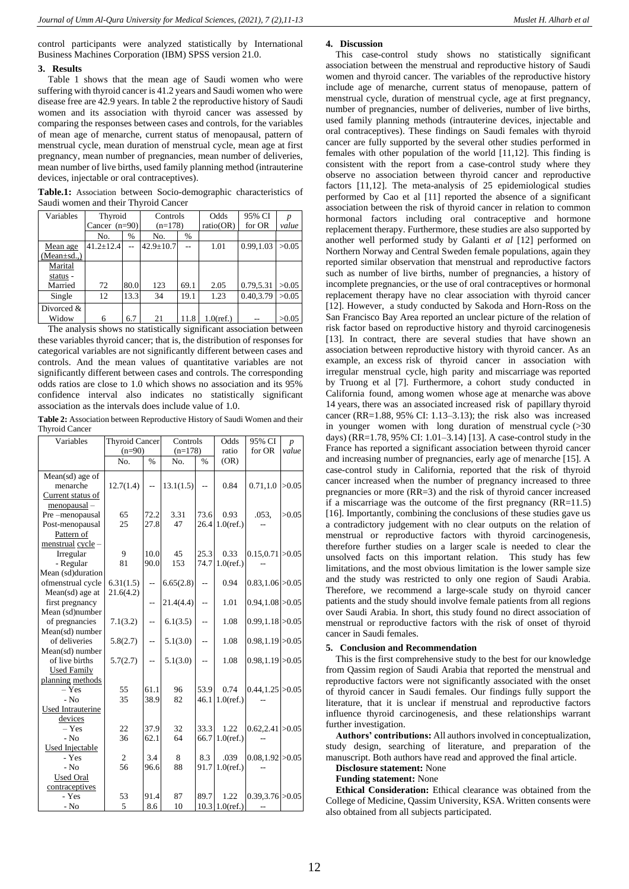control participants were analyzed statistically by International Business Machines Corporation (IBM) SPSS version 21.0.

#### **3. Results**

Table 1 shows that the mean age of Saudi women who were suffering with thyroid cancer is 41.2 years and Saudi women who were disease free are 42.9 years. In table 2 the reproductive history of Saudi women and its association with thyroid cancer was assessed by comparing the responses between cases and controls, for the variables of mean age of menarche, current status of menopausal, pattern of menstrual cycle, mean duration of menstrual cycle, mean age at first pregnancy, mean number of pregnancies, mean number of deliveries, mean number of live births, used family planning method (intrauterine devices, injectable or oral contraceptives).

**Table.1:** Association between Socio-demographic characteristics of Saudi women and their Thyroid Cancer

| Variables        | Thyroid         |      | Controls        |      | Odds         | 95% CI    |       |
|------------------|-----------------|------|-----------------|------|--------------|-----------|-------|
|                  | Cancer $(n=90)$ |      | $(n=178)$       |      | ratio(OR)    | for OR    | value |
|                  | No.             | $\%$ | No.             | $\%$ |              |           |       |
| Mean age         | $41.2 \pm 12.4$ |      | $42.9 \pm 10.7$ |      | 1.01         | 0.99,1.03 | >0.05 |
| $(Mean \pm sd.)$ |                 |      |                 |      |              |           |       |
| Marital          |                 |      |                 |      |              |           |       |
| status -         |                 |      |                 |      |              |           |       |
| Married          | 72              | 80.0 | 123             | 69.1 | 2.05         | 0.79,5.31 | >0.05 |
| Single           | 12              | 13.3 | 34              | 19.1 | 1.23         | 0.40,3.79 | >0.05 |
| Divorced &       |                 |      |                 |      |              |           |       |
| Widow            | 6               | 6.7  | 21              | 11.8 | $1.0$ (ref.) |           | >0.05 |

The analysis shows no statistically significant association between these variables thyroid cancer; that is, the distribution of responses for categorical variables are not significantly different between cases and controls. And the mean values of quantitative variables are not significantly different between cases and controls. The corresponding odds ratios are close to 1.0 which shows no association and its 95% confidence interval also indicates no statistically significant association as the intervals does include value of 1.0.

**Table 2:** Association between Reproductive History of Saudi Women and their Thyroid Cancer

| Variables          |                | <b>Thyroid Cancer</b>    |           | Controls                 |                   | 95% CI               | $\overline{p}$ |
|--------------------|----------------|--------------------------|-----------|--------------------------|-------------------|----------------------|----------------|
|                    | $(n=90)$       |                          | $(n=178)$ |                          | ratio             | for OR               | value          |
|                    | No.            | $\frac{9}{6}$            | No.       | $\frac{9}{6}$            | (OR)              |                      |                |
| Mean(sd) age of    |                |                          |           |                          |                   |                      |                |
| menarche           | 12.7(1.4)      | $\overline{\phantom{a}}$ | 13.1(1.5) | Ξ.                       | 0.84              | 0.71, 1.0            | >0.05          |
| Current status of  |                |                          |           |                          |                   |                      |                |
| $menopausal -$     |                |                          |           |                          |                   |                      |                |
| Pre-menopausal     | 65             | 72.2                     | 3.31      | 73.6                     | 0.93              | .053,                | >0.05          |
| Post-menopausal    | 25             | 27.8                     | 47        | 26.4                     | $1.0$ (ref.)      |                      |                |
| Pattern of         |                |                          |           |                          |                   |                      |                |
| menstrual cycle -  |                |                          |           |                          |                   |                      |                |
| Irregular          | 9              | 10.0                     | 45        | 25.3                     | 0.33              | 0.15, 0.71 > 0.05    |                |
| - Regular          | 81             | 90.0                     | 153       | 74.7                     | $1.0$ (ref.)      |                      |                |
| Mean (sd)duration  |                |                          |           |                          |                   |                      |                |
| ofmenstrual cycle  | 6.31(1.5)      | Ξ.                       | 6.65(2.8) | $\overline{\phantom{a}}$ | 0.94              | $0.83, 1.06$ > 0.05  |                |
| Mean(sd) age at    | 21.6(4.2)      |                          |           |                          |                   |                      |                |
| first pregnancy    |                | $\overline{a}$           | 21.4(4.4) | $\overline{a}$           | 1.01              | $0.94, 1.08$ $>0.05$ |                |
| Mean (sd)number    |                |                          |           |                          |                   |                      |                |
| of pregnancies     | 7.1(3.2)       | $\overline{\phantom{a}}$ | 6.1(3.5)  | $\overline{\phantom{a}}$ | 1.08              | 0.99, 1.18 > 0.05    |                |
| Mean(sd) number    |                |                          |           |                          |                   |                      |                |
| of deliveries      | 5.8(2.7)       | --                       | 5.1(3.0)  | $-$                      | 1.08              | 0.98, 1.19 > 0.05    |                |
| Mean(sd) number    |                |                          |           |                          |                   |                      |                |
| of live births     | 5.7(2.7)       | $\overline{a}$           | 5.1(3.0)  | Ξ.                       | 1.08              | $0.98, 1.19$ > 0.05  |                |
| <b>Used Family</b> |                |                          |           |                          |                   |                      |                |
| planning methods   |                |                          |           |                          |                   |                      |                |
| $-$ Yes            | 55             | 61.1                     | 96        | 53.9                     | 0.74              | $0.44, 1.25$ > 0.05  |                |
| $-$ No             | 35             | 38.9                     | 82        | 46.1                     | $1.0$ (ref.)      |                      |                |
| Used Intrauterine  |                |                          |           |                          |                   |                      |                |
| devices            |                |                          |           |                          |                   |                      |                |
| $-$ Yes            | 22             | 37.9                     | 32        | 33.3                     | 1.22              | 0.62, 2.41 > 0.05    |                |
| $-$ No             | 36             | 62.1                     | 64        | 66.7                     | $1.0$ (ref.)      |                      |                |
| Used Injectable    |                |                          |           |                          |                   |                      |                |
| - Yes              | $\overline{c}$ | 3.4                      | 8         | 8.3                      | .039              | 0.08, 1.92 > 0.05    |                |
| $-$ No             | 56             | 96.6                     | 88        | 91.7                     | $1.0$ (ref.)      |                      |                |
| <b>Used Oral</b>   |                |                          |           |                          |                   |                      |                |
| contraceptives     |                |                          |           |                          |                   |                      |                |
| - Yes              | 53             | 91.4                     | 87        | 89.7                     | 1.22              | $0.39,3.76$ $>0.05$  |                |
| $-$ No             | 5              | 8.6                      | 10        |                          | 10.3 $1.0$ (ref.) |                      |                |

#### **4. Discussion**

This case-control study shows no statistically significant association between the menstrual and reproductive history of Saudi women and thyroid cancer. The variables of the reproductive history include age of menarche, current status of menopause, pattern of menstrual cycle, duration of menstrual cycle, age at first pregnancy, number of pregnancies, number of deliveries, number of live births, used family planning methods (intrauterine devices, injectable and oral contraceptives). These findings on Saudi females with thyroid cancer are fully supported by the several other studies performed in females with other population of the world [11,12]. This finding is consistent with the report from a case-control study where they observe no association between thyroid cancer and reproductive factors [11,12]. The meta-analysis of 25 epidemiological studies performed by Cao et al [11] reported the absence of a significant association between the risk of thyroid cancer in relation to common hormonal factors including oral contraceptive and hormone replacement therapy. Furthermore, these studies are also supported by another well performed study by Galanti *et al* [12] performed on Northern Norway and Central Sweden female populations, again they reported similar observation that menstrual and reproductive factors such as number of live births, number of pregnancies, a history of incomplete pregnancies, or the use of oral contraceptives or hormonal replacement therapy have no clear association with thyroid cancer [12]. However, a study conducted by Sakoda and Horn-Ross on the San Francisco Bay Area reported an unclear picture of the relation of risk factor based on reproductive history and thyroid carcinogenesis [13]. In contract, there are several studies that have shown an association between reproductive history with thyroid cancer. As an example, an excess risk of thyroid cancer in association with irregular menstrual cycle, high parity and miscarriage was reported by Truong et al [7]. Furthermore, a cohort study conducted in California found, among women whose age at menarche was above 14 years, there was an associated increased risk of papillary thyroid cancer (RR=1.88, 95% CI: 1.13–3.13); the risk also was increased in younger women with long duration of menstrual cycle  $($ >30 days) (RR=1.78, 95% CI: 1.01–3.14) [13]. A case-control study in the France has reported a significant association between thyroid cancer and increasing number of pregnancies, early age of menarche [15]. A case-control study in California, reported that the risk of thyroid cancer increased when the number of pregnancy increased to three pregnancies or more (RR=3) and the risk of thyroid cancer increased if a miscarriage was the outcome of the first pregnancy (RR=11.5) [16]. Importantly, combining the conclusions of these studies gave us a contradictory judgement with no clear outputs on the relation of menstrual or reproductive factors with thyroid carcinogenesis, therefore further studies on a larger scale is needed to clear the unsolved facts on this important relation. This study has few limitations, and the most obvious limitation is the lower sample size and the study was restricted to only one region of Saudi Arabia. Therefore, we recommend a large-scale study on thyroid cancer patients and the study should involve female patients from all regions over Saudi Arabia. In short, this study found no direct association of menstrual or reproductive factors with the risk of onset of thyroid cancer in Saudi females.

#### **5. Conclusion and Recommendation**

This is the first comprehensive study to the best for our knowledge from Qassim region of Saudi Arabia that reported the menstrual and reproductive factors were not significantly associated with the onset of thyroid cancer in Saudi females. Our findings fully support the literature, that it is unclear if menstrual and reproductive factors influence thyroid carcinogenesis, and these relationships warrant further investigation.

**Authors' contributions:** All authors involved in conceptualization, study design, searching of literature, and preparation of the manuscript. Both authors have read and approved the final article.

### **Disclosure statement:** None

### **Funding statement:** None

**Ethical Consideration:** Ethical clearance was obtained from the College of Medicine, Qassim University, KSA. Written consents were also obtained from all subjects participated.